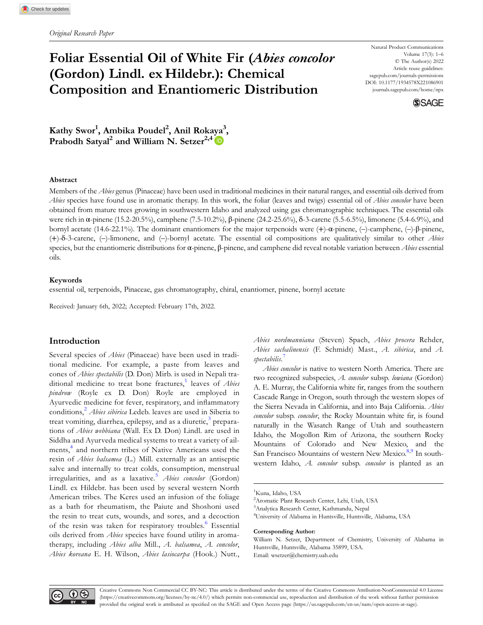# Foliar Essential Oil of White Fir (Abies concolor (Gordon) Lindl. ex Hildebr.): Chemical Composition and Enantiomeric Distribution

Natural Product Communications Volume 17(3): 1–6 © The Author(s) 2022 Article reuse guidelines: [sagepub.com/journals-permissions](https://us.sagepub.com/en-us/journals-permissions) DOI: 10.1177/1934578X221086901 [journals.sagepub.com/home/npx](https://journals.sagepub.com/home/npx)



Kathy Swor $^1$ , Ambika Poudel $^2$ , Anil Roka[ya](https://orcid.org/0000-0002-3639-0528) $^3,$ Prabodh Satyal<sup>2</sup> and William N. Setzer<sup>2,4</sup> <sup>(D</sup>)

### Abstract

Members of the Abies genus (Pinaceae) have been used in traditional medicines in their natural ranges, and essential oils derived from Abies species have found use in aromatic therapy. In this work, the foliar (leaves and twigs) essential oil of Abies concolor have been obtained from mature trees growing in southwestern Idaho and analyzed using gas chromatographic techniques. The essential oils were rich in α-pinene (15.2-20.5%), camphene (7.5-10.2%), β-pinene (24.2-25.6%), δ-3-carene (5.5-6.5%), limonene (5.4-6.9%), and bornyl acetate (14.6-22.1%). The dominant enantiomers for the major terpenoids were (+)-α-pinene, (–)-camphene, (–)-β-pinene, (+)-δ-3-carene, (–)-limonene, and (–)-bornyl acetate. The essential oil compositions are qualitatively similar to other Abies species, but the enantiomeric distributions for α-pinene, β-pinene, and camphene did reveal notable variation between *Abies* essential oils.

## Keywords

essential oil, terpenoids, Pinaceae, gas chromatography, chiral, enantiomer, pinene, bornyl acetate

Received: January 6th, 2022; Accepted: February 17th, 2022.

# Introduction

Several species of Abies (Pinaceae) have been used in traditional medicine. For example, a paste from leaves and cones of Abies spectabilis (D. Don) Mirb. is used in Nepali tra-ditional medicine to treat bone fractures,<sup>[1](#page-4-0)</sup> leaves of *Abies* pindrow (Royle ex D. Don) Royle are employed in Ayurvedic medicine for fever, respiratory, and inflammatory conditions, $^{2}$  $^{2}$  $^{2}$  Abies sibirica Ledeb. leaves are used in Siberia to treat vomiting, diarrhea, epilepsy, and as a diuretic, $\frac{3}{2}$  $\frac{3}{2}$  $\frac{3}{2}$  preparations of Abies webbiana (Wall. Ex D. Don) Lindl. are used in Siddha and Ayurveda medical systems to treat a variety of ail-ments,<sup>[4](#page-4-0)</sup> and northern tribes of Native Americans used the resin of Abies balsamea (L.) Mill. externally as an antiseptic salve and internally to treat colds, consumption, menstrual irregularities, and as a laxative.<sup>[5](#page-4-0)</sup> Abies concolor (Gordon) Lindl. ex Hildebr. has been used by several western North American tribes. The Keres used an infusion of the foliage as a bath for rheumatism, the Paiute and Shoshoni used the resin to treat cuts, wounds, and sores, and a decoction of the resin was taken for respiratory troubles.<sup>[6](#page-4-0)</sup> Essential oils derived from Abies species have found utility in aromatherapy, including Abies alba Mill., A. balsamea, A. concolor, Abies koreana E. H. Wilson, Abies lasiocarpa (Hook.) Nutt., Abies nordmanniana (Steven) Spach, Abies procera Rehder, Abies sachalinensis (F. Schmidt) Mast., A. sibirica, and A. spectabilis.<sup>[7](#page-4-0)</sup>

Abies concolor is native to western North America. There are two recognized subspecies, A. concolor subsp. lowiana (Gordon) A. E. Murray, the California white fir, ranges from the southern Cascade Range in Oregon, south through the western slopes of the Sierra Nevada in California, and into Baja California. Abies concolor subsp. concolor, the Rocky Mountain white fir, is found naturally in the Wasatch Range of Utah and southeastern Idaho, the Mogollon Rim of Arizona, the southern Rocky Mountains of Colorado and New Mexico, and the San Francisco Mountains of western New Mexico.<sup>[8,9](#page-4-0)</sup> In southwestern Idaho, A. concolor subsp. concolor is planted as an

#### Corresponding Author:

William N. Setzer, Department of Chemistry, University of Alabama in Huntsville, Huntsville, Alabama 35899, USA. Email: [wsetzer@chemistry.uah.edu](mailto:wsetzer@chemistry.uah.edu)



Creative Commons Non Commercial CC BY-NC: This article is distributed under the terms of the Creative Commons Attribution-NonCommercial 4.0 License [\(https://creativecommons.org/licenses/by-nc/4.0/\) which permits non-commercial use, reproduction and distribution of the work without further permission](https://creativecommons.org/licenses/by-nc/4.0/) provided the original work is attributed as specifi[ed on the SAGE and Open Access page \(https://us.sagepub.com/en-us/nam/open-access-at-sage\).](https://us.sagepub.com/en-us/nam/open-access-at-sage)

<sup>1</sup> Kuna, Idaho, USA

<sup>2</sup> Aromatic Plant Research Center, Lehi, Utah, USA

<sup>3</sup> Analytica Research Center, Kathmandu, Nepal

<sup>4</sup> University of Alabama in Huntsville, Huntsville, Alabama, USA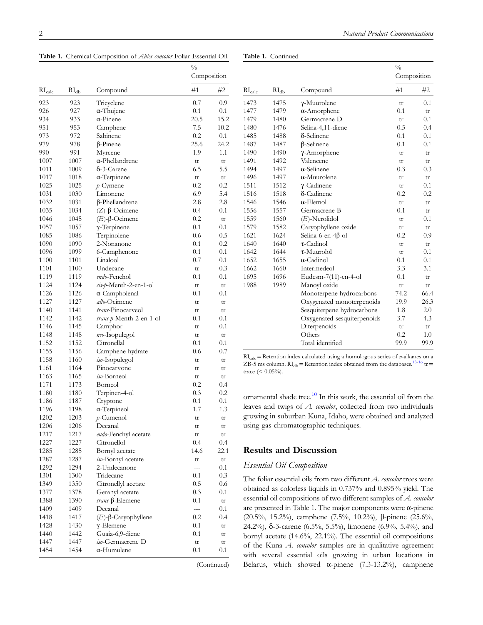Table 1. Chemical Composition of Abies concolor Foliar Essential Oil.

Table 1. Continued

|                             |                             | $\frac{0}{0}$             |                |             |  |  |  |
|-----------------------------|-----------------------------|---------------------------|----------------|-------------|--|--|--|
|                             |                             |                           |                | Composition |  |  |  |
| $\mathrm{RI}_\mathrm{calc}$ | $\mathrm{RI}_{\mathrm{db}}$ | Compound                  | #1             | #2          |  |  |  |
| 923                         | 923                         | Tricyclene                | 0.7            | 0.9         |  |  |  |
| 926                         | 927                         | $\alpha$ -Thujene         | 0.1            | 0.1         |  |  |  |
| 934                         | 933                         | $\alpha$ -Pinene          | 20.5           | 15.2        |  |  |  |
| 951                         | 953                         | Camphene                  | 7.5            | 10.2        |  |  |  |
| 973                         | 972                         | Sabinene                  | 0.2            | 0.1         |  |  |  |
| 979                         | 978                         | $\beta$ -Pinene           | 25.6           | 24.2        |  |  |  |
| 990                         | 991                         | Myrcene                   | 1.9            | 1.1         |  |  |  |
| 1007                        | 1007                        | $\alpha$ -Phellandrene    | tr             | tr          |  |  |  |
| 1011                        | 1009                        | 8-3-Carene                | 6.5            | 5.5         |  |  |  |
| 1017                        | 1018                        | $\alpha$ -Terpinene       | tr             | tr          |  |  |  |
| 1025                        | 1025                        | $p$ -Cymene               | 0.2            | 0.2         |  |  |  |
| 1031                        | 1030                        | Limonene                  | 6.9            | 5.4         |  |  |  |
| 1032                        | 1031                        | β-Phellandrene            | 2.8            | 2.8         |  |  |  |
| 1035                        | 1034                        | $(Z)$ -β-Ocimene          | 0.4            | 0.1         |  |  |  |
| 1046                        | 1045                        | $(E)$ -β-Ocimene          | 0.2            | tr          |  |  |  |
| 1057                        | 1057                        | $\gamma$ -Terpinene       | 0.1            | 0.1         |  |  |  |
| 1085                        | 1086                        | Terpinolene               | 0.6            | 0.5         |  |  |  |
| 1090                        | 1090                        | 2-Nonanone                | 0.1            | 0.2         |  |  |  |
| 1096                        | 1099                        | 6-Camphenone              | 0.1            | 0.1         |  |  |  |
| 1100                        | 1101                        | Linalool                  | 0.7            | 0.1         |  |  |  |
| 1101                        | 1100                        | Undecane                  | tr             | 0.3         |  |  |  |
| 1119                        | 1119                        | <i>endo</i> -Fenchol      | 0.1            | 0.1         |  |  |  |
| 1124                        | 1124                        | cis-p-Menth-2-en-1-ol     | tr             | tr          |  |  |  |
| 1126                        | 1126                        | $\alpha$ -Campholenal     | 0.1            | 0.1         |  |  |  |
| 1127                        | 1127                        | allo-Ocimene              | tr             | tr          |  |  |  |
| 1140                        | 1141                        | <i>trans</i> -Pinocarveol | tr             | tr          |  |  |  |
| 1142                        | 1142                        | trans-p-Menth-2-en-1-ol   | 0.1            | 0.1         |  |  |  |
| 1146                        | 1145                        | Camphor                   | tr             | 0.1         |  |  |  |
| 1148                        | 1148                        | neo-Isopulegol            | tr             | tr          |  |  |  |
| 1152                        | 1152                        | Citronellal               | 0.1            | 0.1         |  |  |  |
| 1155                        | 1156                        | Camphene hydrate          | 0.6            | 0.7         |  |  |  |
| 1158                        | 1160                        | iso-Isopulegol            | tr             | tr          |  |  |  |
| 1161                        | 1164                        | Pinocarvone               | tr             | tr          |  |  |  |
| 1163                        | 1165                        | iso-Borneol               | tr             | tr          |  |  |  |
| 1171                        | 1173                        | Borneol                   | 0.2            | 0.4         |  |  |  |
| 1180                        | 1180                        | Terpinen-4-ol             | 0.3            | 0.2         |  |  |  |
| 1186                        | 1187                        | Cryptone                  | 0.1            | 0.1         |  |  |  |
| 1196                        | 1198                        | $\alpha$ -Terpineol       | 1.7            | 1.3         |  |  |  |
| 1202                        | 1203                        | $p$ -Cumenol              | tr             | tr          |  |  |  |
| 1206                        | 1206                        | Decanal                   | tr             | tr          |  |  |  |
| 1217                        | 1217                        | endo-Fenchyl acetate      | tr             | tr          |  |  |  |
| 1227                        | 1227                        | Citronellol               | 0.4            | 0.4         |  |  |  |
| 1285                        | 1285                        | Bornyl acetate            | 14.6           | 22.1        |  |  |  |
| 1287                        | 1287                        | iso-Bornyl acetate        | tr             | tr          |  |  |  |
| 1292                        | 1294                        | 2-Undecanone              | $\overline{a}$ | 0.1         |  |  |  |
| 1301                        | 1300                        | Tridecane                 | 0.1            | 0.3         |  |  |  |
| 1349                        | 1350                        | Citronellyl acetate       | 0.5            | 0.6         |  |  |  |
| 1377                        | 1378                        | Geranyl acetate           | 0.3            | 0.1         |  |  |  |
| 1388                        | 1390                        | <i>trans</i> -β-Elemene   | 0.1            | tr          |  |  |  |
| 1409                        | 1409                        | Decanal                   | $\overline{a}$ | 0.1         |  |  |  |
| 1418                        | 1417                        | $(E)$ -β-Caryophyllene    | 0.2            | 0.4         |  |  |  |
| 1428                        | 1430                        | $\gamma$ -Elemene         | 0.1            | tr          |  |  |  |
| 1440                        | 1442                        | Guaia-6,9-diene           | 0.1            | tr          |  |  |  |
| 1447                        | 1447                        | <i>iso</i> -Germacrene D  | tr             | tr          |  |  |  |
|                             |                             |                           |                |             |  |  |  |

|             |                             |                             | $\frac{0}{0}$<br>Composition |      |  |
|-------------|-----------------------------|-----------------------------|------------------------------|------|--|
| $RI_{calc}$ | $\mathrm{RI}_{\mathrm{db}}$ | Compound                    | #1                           | #2   |  |
| 1473        | 1475                        | $\gamma$ -Muurolene         | tr                           | 0.1  |  |
| 1477        | 1479                        | $\alpha$ -Amorphene         | 0.1                          | tr   |  |
| 1479        | 1480                        | Germacrene D                | tr                           | 0.1  |  |
| 1480        | 1476                        | Selina-4,11-diene           | 0.5                          | 0.4  |  |
| 1485        | 1488                        | $\delta$ -Selinene          | 0.1                          | 0.1  |  |
| 1487        | 1487                        | $\beta$ -Selinene           | 0.1                          | 0.1  |  |
| 1490        | 1490                        | $\gamma$ -Amorphene         | tr                           | tr   |  |
| 1491        | 1492                        | Valencene                   | tr                           | tr   |  |
| 1494        | 1497                        | $\alpha$ -Selinene          | 0.3                          | 0.3  |  |
| 1496        | 1497                        | $\alpha$ -Muurolene         | tr                           | tr   |  |
| 1511        | 1512                        | $\gamma$ -Cadinene          | tr                           | 0.1  |  |
| 1516        | 1518                        | δ-Cadinene                  | 0.2                          | 0.2  |  |
| 1546        | 1546                        | $\alpha$ -Elemol            | tr                           | tr   |  |
| 1556        | 1557                        | Germacrene B                | 0.1                          | tr   |  |
| 1559        | 1560                        | $(E)$ -Nerolidol            | tr                           | 0.1  |  |
| 1579        | 1582                        | Caryophyllene oxide         | tr                           | tr   |  |
| 1621        | 1624                        | Selina-6-en-4β-ol           | 0.2                          | 0.9  |  |
| 1640        | 1640                        | $\tau$ -Cadinol             | tr                           | tr   |  |
| 1642        | 1644                        | $\tau$ -Muurolol            | tr                           | 0.1  |  |
| 1652        | 1655                        | $\alpha$ -Cadinol           | 0.1                          | 0.1  |  |
| 1662        | 1660                        | Intermedeol                 | 3.3                          | 3.1  |  |
| 1695        | 1696                        | Eudesm-7(11)-en-4-ol        | 0.1                          | tr   |  |
| 1988        | 1989                        | Manoyl oxide                | tr                           | tr   |  |
|             |                             | Monoterpene hydrocarbons    | 74.2                         | 66.4 |  |
|             |                             | Oxygenated monoterpenoids   | 19.9                         | 26.3 |  |
|             |                             | Sesquiterpene hydrocarbons  | 1.8                          | 2.0  |  |
|             |                             | Oxygenated sesquiterpenoids | 3.7                          | 4.3  |  |
|             |                             | Diterpenoids                | tr                           | tr   |  |
|             |                             | Others                      | 0.2                          | 1.0  |  |
|             |                             | Total identified            | 99.9                         | 99.9 |  |

 $RI<sub>calc</sub>$  = Retention index calculated using a homologous series of *n*-alkanes on a ZB-5 ms column.  $RI<sub>db</sub>$  = Retention index obtained from the databases.<sup>[13-16](#page-4-0)</sup> tr = trace  $(< 0.05\%$ ).

ornamental shade tree.<sup>10</sup> In this work, the essential oil from the leaves and twigs of A. concolor, collected from two individuals growing in suburban Kuna, Idaho, were obtained and analyzed using gas chromatographic techniques.

# Results and Discussion

# Essential Oil Composition

The foliar essential oils from two different A. concolor trees were obtained as colorless liquids in 0.737% and 0.895% yield. The essential oil compositions of two different samples of A. concolor are presented in Table 1. The major components were  $\alpha$ -pinene (20.5%, 15.2%), camphene (7.5%, 10.2%), β-pinene (25.6%, 24.2%), δ-3-carene (6.5%, 5.5%), limonene (6.9%, 5.4%), and bornyl acetate (14.6%, 22.1%). The essential oil compositions of the Kuna A. concolor samples are in qualitative agreement with several essential oils growing in urban locations in Belarus, which showed  $\alpha$ -pinene (7.3-13.2%), camphene

(Continued)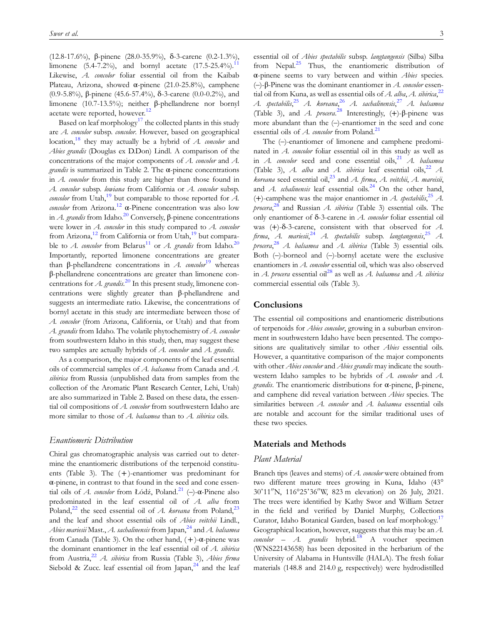(12.8-17.6%), β-pinene (28.0-35.9%), δ-3-carene (0.2-1.3%), limonene  $(5.4-7.2\%)$ , and bornyl acetate  $(17.5-25.4\%)$ . Likewise, A. concolor foliar essential oil from the Kaibab Plateau, Arizona, showed  $\alpha$ -pinene (21.0-25.8%), camphene (0.9-5.8%), β-pinene (45.6-57.4%), δ-3-carene (0.0-0.2%), and limonene (10.7-13.5%); neither β-phellandrene nor bornyl acetate were reported, however.<sup>[12](#page-4-0)</sup>

Based on leaf morphology $17$  the collected plants in this study are A. concolor subsp. concolor. However, based on geographical location,<sup>18</sup> they may actually be a hybrid of A. concolor and Abies grandis (Douglas ex D.Don) Lindl. A comparison of the concentrations of the major components of A. concolor and A. *grandis* is summarized in [Table 2.](#page-3-0) The  $\alpha$ -pinene concentrations in *A. concolor* from this study are higher than those found in A. concolor subsp. lowiana from California or A. concolor subsp. concolor from Utah,<sup>[19](#page-5-0)</sup> but comparable to those reported for  $A$ . concolor from Arizona.<sup>[12](#page-4-0)</sup>  $\alpha$ -Pinene concentration was also low in A. grandis from Idaho.<sup>20</sup> Conversely, β-pinene concentrations were lower in A. concolor in this study compared to A. concolor from Arizona,<sup>[12](#page-4-0)</sup> from California or from Utah,<sup>[19](#page-5-0)</sup> but compara-ble to A. concolor from Belarus<sup>[11](#page-4-0)</sup> or A. grandis from Idaho.<sup>[20](#page-5-0)</sup> Importantly, reported limonene concentrations are greater than β-phellandrene concentrations in A. *concolor*<sup>[19](#page-5-0)</sup> whereas β-phellandrene concentrations are greater than limonene concentrations for  $A$ . grandis.<sup>[20](#page-5-0)</sup> In this present study, limonene concentrations were slightly greater than β-phellandrene and suggests an intermediate ratio. Likewise, the concentrations of bornyl acetate in this study are intermediate between those of A. concolor (from Arizona, California, or Utah) and that from A. grandis from Idaho. The volatile phytochemistry of A. concolor from southwestern Idaho in this study, then, may suggest these two samples are actually hybrids of A. concolor and A. grandis.

As a comparison, the major components of the leaf essential oils of commercial samples of A. balsamea from Canada and A. sibirica from Russia (unpublished data from samples from the collection of the Aromatic Plant Research Center, Lehi, Utah) are also summarized in [Table 2.](#page-3-0) Based on these data, the essential oil compositions of A. concolor from southwestern Idaho are more similar to those of A. balsamea than to A. sibirica oils.

# Enantiomeric Distribution

Chiral gas chromatographic analysis was carried out to determine the enantiomeric distributions of the terpenoid constituents ([Table 3\)](#page-3-0). The (+)-enantiomer was predominant for α-pinene, in contrast to that found in the seed and cone essen-tial oils of A. concolor from Łódź, Poland.<sup>[21](#page-5-0)</sup> (–)- $\alpha$ -Pinene also predominated in the leaf essential oil of A. alba from Poland,<sup>[22](#page-5-0)</sup> the seed essential oil of A. koreana from Poland,<sup>[23](#page-5-0)</sup> and the leaf and shoot essential oils of Abies veitchii Lindl., Abies mariesii Mast., A. sachalinensis from Japan, $^{24}$  $^{24}$  $^{24}$  and A. balsamea from Canada ([Table 3\)](#page-3-0). On the other hand,  $(+)$ - $\alpha$ -pinene was the dominant enantiomer in the leaf essential oil of  $A$ . sibirica from Austria,  $^{22}$  $^{22}$  $^{22}$  A. sibirica from Russia ([Table 3\)](#page-3-0), Abies firma Siebold & Zucc. leaf essential oil from Japan, $24$  and the leaf essential oil of Abies spectabilis subsp. langtangensis (Silba) Silba from Nepal. $^{25}$  $^{25}$  $^{25}$  Thus, the enantiomeric distribution of α-pinene seems to vary between and within Abies species. (–)-β-Pinene was the dominant enantiomer in A. concolor essential oil from Kuna, as well as essential oils of A. alba, A. sibirica,  $^{22}$  $^{22}$  $^{22}$ A. spectabilis, $^{25}$  $^{25}$  $^{25}$  A. koreana, $^{26}$  $^{26}$  $^{26}$  A. sachalinensis, $^{27}$  $^{27}$  $^{27}$  A. balsamea [\(Table 3\)](#page-3-0), and A. procera.<sup>[28](#page-5-0)</sup> Interestingly,  $(+)$ - $\beta$ -pinene was more abundant than the (–)-enantiomer in the seed and cone essential oils of A. concolor from Poland.<sup>[21](#page-5-0)</sup>

The (–)-enantiomer of limonene and camphene predominated in A. concolor foliar essential oil in this study as well as in A. concolor seed and cone essential oils,  $^{21}$  $^{21}$  $^{21}$  A. balsamea [\(Table 3](#page-3-0)), A. alba and A. sibirica leaf essential oils,  $^{22}$  $^{22}$  $^{22}$  A. koreana seed essential oil,  $^{23}$  $^{23}$  $^{23}$  and A. firma, A. veitchii, A. mareisii, and A. schalinensis leaf essential oils.<sup>[24](#page-5-0)</sup> On the other hand, (+)-camphene was the major enantiomer in A. spectabilis,  $2^5$  A. procera,  $2^8$  and Russian A. sibirica ([Table 3\)](#page-3-0) essential oils. The only enantiomer of δ-3-carene in A. concolor foliar essential oil was  $(+)$ -δ-3-carene, consistent with that observed for A. firma, A. mariesii,<sup>[24](#page-5-0)</sup> A. spectabilis subsp. langtangensis,<sup>[25](#page-5-0)</sup> A. procera,  $2^8$  A. balsamea and A. sibirica ([Table 3](#page-3-0)) essential oils. Both (–)-borneol and (–)-bornyl acetate were the exclusive enantiomers in A. concolor essential oil, which was also observed in A. procera essential oil<sup>[28](#page-5-0)</sup> as well as A. balsamea and A. sibirica commercial essential oils [\(Table 3](#page-3-0)).

# **Conclusions**

The essential oil compositions and enantiomeric distributions of terpenoids for *Abies concolor*, growing in a suburban environment in southwestern Idaho have been presented. The compositions are qualitatively similar to other *Abies* essential oils. However, a quantitative comparison of the major components with other *Abies concolor* and *Abies grandis* may indicate the southwestern Idaho samples to be hybrids of A. concolor and A. *grandis*. The enantiomeric distributions for α-pinene, β-pinene, and camphene did reveal variation between Abies species. The similarities between  $A$ . concolor and  $A$ . balsamea essential oils are notable and account for the similar traditional uses of these two species.

## Materials and Methods

#### Plant Material

Branch tips (leaves and stems) of A. concolor were obtained from two different mature trees growing in Kuna, Idaho (43° 30'11′′N, 116°25'36′′W, 823 m elevation) on 26 July, 2021. The trees were identified by Kathy Swor and William Setzer in the field and verified by Daniel Murphy, Collections Curator, Idaho Botanical Garden, based on leaf morphology.<sup>[17](#page-4-0)</sup> Geographical location, however, suggests that this may be an A. *concolor – A. grandis* hybrid.<sup>18</sup> A voucher specimen (WNS22143658) has been deposited in the herbarium of the University of Alabama in Huntsville (HALA). The fresh foliar materials (148.8 and 214.0 g, respectively) were hydrodistilled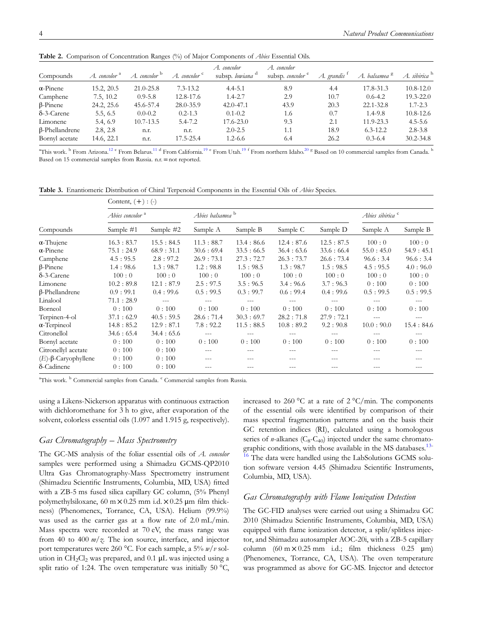| Compounds             | $A.$ concolor $a$ | $A.$ concolor $\overline{B}$ | $A$ concolor $\degree$ | A. concolor<br>subsp. lowiana <sup>d</sup> | A. concolor<br>subsp. concolor <sup>e</sup> | $A$ grandis <sup>t</sup> | A. balsamea <sup>g</sup> | A. sibirica <sup>h</sup> |
|-----------------------|-------------------|------------------------------|------------------------|--------------------------------------------|---------------------------------------------|--------------------------|--------------------------|--------------------------|
| $\alpha$ -Pinene      | 15.2, 20.5        | $21.0 - 25.8$                | $7.3 - 13.2$           | $4.4 - 5.1$                                | 8.9                                         | 4.4                      | 17.8-31.3                | $10.8 - 12.0$            |
| Camphene              | 7.5, 10.2         | $0.9 - 5.8$                  | 12.8-17.6              | $1.4 - 2.7$                                | 2.9                                         | 10.7                     | $0.6 - 4.2$              | $19.3 - 22.0$            |
| $\beta$ -Pinene       | 24.2, 25.6        | 45.6-57.4                    | 28.0-35.9              | 42.0-47.1                                  | 43.9                                        | 20.3                     | 22.1-32.8                | $1.7 - 2.3$              |
| $\delta$ -3-Carene    | 5.5, 6.5          | $0.0 - 0.2$                  | $0.2 - 1.3$            | $0.1 - 0.2$                                | 1.6                                         | 0.7                      | $1.4 - 9.8$              | 10.8-12.6                |
| Limonene              | 5.4, 6.9          | $10.7 - 13.5$                | $5.4 - 7.2$            | 17.6-23.0                                  | 9.3                                         | 2.1                      | 11.9-23.3                | $4.5 - 5.6$              |
| $\beta$ -Phellandrene | 2.8, 2.8          | n.r.                         | n.r.                   | $2.0 - 2.5$                                | 1.1                                         | 18.9                     | $6.3 - 12.2$             | $2.8 - 3.8$              |
| Bornyl acetate        | 14.6, 22.1        | n.r.                         | 17.5-25.4              | $1.2 - 6.6$                                | 6.4                                         | 26.2                     | $0.3 - 6.4$              | $30.2 - 34.8$            |

<span id="page-3-0"></span>Table 2. Comparison of Concentration Ranges (%) of Major Components of Abies Essential Oils.

<sup>a</sup>This work. <sup>b</sup> From Arizona.<sup>[12](#page-4-0) c</sup> From Belarus.<sup>[11](#page-4-0) d</sup> From California.<sup>[19](#page-5-0) e</sup> From Utah.<sup>19 f</sup> From northern Idaho.<sup>[20](#page-5-0)</sup> <sup>g</sup> Based on 10 commercial samples from Canada. <sup>h</sup> Based on 15 commercial samples from Russia. n.r. =not reported.

Table 3. Enantiomeric Distribution of Chiral Terpenoid Components in the Essential Oils of Abies Species.

|                        | Content, $(+)$ : $(-)$      |           |                             |           |           |           |                             |           |  |
|------------------------|-----------------------------|-----------|-----------------------------|-----------|-----------|-----------|-----------------------------|-----------|--|
|                        | Abies concolor <sup>a</sup> |           | Abies balsamea <sup>b</sup> |           |           |           | Abies sibirica <sup>c</sup> |           |  |
| Compounds              | Sample #1                   | Sample #2 | Sample A                    | Sample B  | Sample C  | Sample D  | Sample A                    | Sample B  |  |
| $\alpha$ -Thujene      | 16.3:83.7                   | 15.5:84.5 | 11.3:88.7                   | 13.4:86.6 | 12.4:87.6 | 12.5:87.5 | 100:0                       | 100:0     |  |
| $\alpha$ -Pinene       | 75.1:24.9                   | 68.9:31.1 | 30.6:69.4                   | 33.5:66.5 | 36.4:63.6 | 33.6:66.4 | 55.0:45.0                   | 54.9:45.1 |  |
| Camphene               | 4.5:95.5                    | 2.8:97.2  | 26.9:73.1                   | 27.3:72.7 | 26.3:73.7 | 26.6:73.4 | 96.6:3.4                    | 96.6:3.4  |  |
| $\beta$ -Pinene        | 1.4:98.6                    | 1.3:98.7  | 1.2:98.8                    | 1.5:98.5  | 1.3:98.7  | 1.5:98.5  | 4.5:95.5                    | 4.0:96.0  |  |
| $\delta$ -3-Carene     | 100:0                       | 100:0     | 100:0                       | 100:0     | 100:0     | 100:0     | 100:0                       | 100:0     |  |
| Limonene               | 10.2:89.8                   | 12.1:87.9 | 2.5:97.5                    | 3.5:96.5  | 3.4:96.6  | 3.7:96.3  | 0:100                       | 0:100     |  |
| $\beta$ -Phellandrene  | 0.9:99.1                    | 0.4:99.6  | 0.5:99.5                    | 0.3:99.7  | 0.6:99.4  | 0.4:99.6  | 0.5:99.5                    | 0.5:99.5  |  |
| Linalool               | 71.1:28.9                   |           |                             |           |           |           |                             |           |  |
| Borneol                | 0:100                       | 0:100     | 0:100                       | 0:100     | 0:100     | 0:100     | 0:100                       | 0:100     |  |
| Terpinen-4-ol          | 37.1 : 62.9                 | 40.5:59.5 | 28.6:71.4                   | 30.3:69.7 | 28.2:71.8 | 27.9:72.1 |                             |           |  |
| $\alpha$ -Terpineol    | 14.8:85.2                   | 12.9:87.1 | 7.8:92.2                    | 11.5:88.5 | 10.8:89.2 | 9.2:90.8  | 10.0:90.0                   | 15.4:84.6 |  |
| Citronellol            | 34.6:65.4                   | 34.4:65.6 |                             |           |           |           |                             |           |  |
| Bornyl acetate         | 0:100                       | 0:100     | 0:100                       | 0:100     | 0:100     | 0:100     | 0:100                       | 0:100     |  |
| Citronellyl acetate    | 0:100                       | 0:100     | $---$                       | $- - -$   |           |           |                             | $- - -$   |  |
| $(E)$ -β-Caryophyllene | 0:100                       | 0:100     | $---$                       | $- - -$   | ---       | ---       | $- - -$                     | ---       |  |
| $\delta$ -Cadinene     | 0:100                       | 0:100     | ---                         | ---       |           |           |                             |           |  |

<sup>a</sup>This work. <sup>b</sup> Commercial samples from Canada. <sup>c</sup> Commercial samples from Russia.

using a Likens-Nickerson apparatus with continuous extraction with dichloromethane for 3 h to give, after evaporation of the solvent, colorless essential oils (1.097 and 1.915 g, respectively).

# Gas Chromatography – Mass Spectrometry

The GC-MS analysis of the foliar essential oils of A. concolor samples were performed using a Shimadzu GCMS-QP2010 Ultra Gas Chromatography-Mass Spectrometry instrument (Shimadzu Scientific Instruments, Columbia, MD, USA) fitted with a ZB-5 ms fused silica capillary GC column, (5% Phenyl polymethylsiloxane, 60 m  $\times$  0.25 mm i.d.  $\times$  0.25 µm film thickness) (Phenomenex, Torrance, CA, USA). Helium (99.9%) was used as the carrier gas at a flow rate of 2.0 mL/min. Mass spectra were recorded at 70 eV, the mass range was from 40 to 400  $m/z$ . The ion source, interface, and injector port temperatures were 260 °C. For each sample, a 5%  $w/v$  solution in  $CH_2Cl_2$  was prepared, and 0.1  $\mu$ L was injected using a split ratio of 1:24. The oven temperature was initially 50 °C, increased to 260 °C at a rate of  $2 \degree C / \text{min}$ . The components of the essential oils were identified by comparison of their mass spectral fragmentation patterns and on the basis their GC retention indices (RI), calculated using a homologous series of *n*-alkanes ( $C_8$ - $C_{40}$ ) injected under the same chromato-graphic conditions, with those available in the MS databases.<sup>[13](#page-4-0)-</sup> <sup>[16](#page-4-0)</sup> The data were handled using the LabSolutions GCMS solution software version 4.45 (Shimadzu Scientific Instruments, Columbia, MD, USA).

# Gas Chromatography with Flame Ionization Detection

The GC-FID analyses were carried out using a Shimadzu GC 2010 (Shimadzu Scientific Instruments, Columbia, MD, USA) equipped with flame ionization detector, a split/splitless injector, and Shimadzu autosampler AOC-20i, with a ZB-5 capillary column  $(60 \text{ m} \times 0.25 \text{ mm} \text{ i.d.};$  film thickness  $0.25 \text{ \mu m}$ ) (Phenomenex, Torrance, CA, USA). The oven temperature was programmed as above for GC-MS. Injector and detector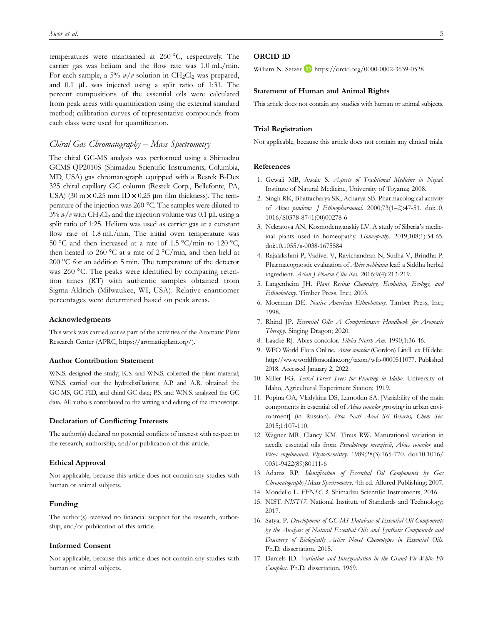<span id="page-4-0"></span>temperatures were maintained at 260 °C, respectively. The carrier gas was helium and the flow rate was 1.0 mL/min. For each sample, a 5%  $w/v$  solution in CH<sub>2</sub>Cl<sub>2</sub> was prepared, and 0.1 μL was injected using a split ratio of 1:31. The percent compositions of the essential oils were calculated from peak areas with quantification using the external standard method; calibration curves of representative compounds from each class were used for quantification.

# Chiral Gas Chromatography – Mass Spectrometry

The chiral GC-MS analysis was performed using a Shimadzu GCMS-QP2010S (Shimadzu Scientific Instruments, Columbia, MD, USA) gas chromatograph equipped with a Restek B-Dex 325 chiral capillary GC column (Restek Corp., Bellefonte, PA, USA) (30 m $\times$  0.25 mm ID $\times$  0.25 µm film thickness). The temperature of the injection was 260 °C. The samples were diluted to  $3\%$  w/v with CH<sub>2</sub>Cl<sub>2</sub> and the injection volume was 0.1 µL using a split ratio of 1:25. Helium was used as carrier gas at a constant flow rate of 1.8 mL/min. The initial oven temperature was 50 °C and then increased at a rate of 1.5 °C/min to 120 °C, then heated to 260 °C at a rate of  $2$  °C/min, and then held at 200 °C for an addition 5 min. The temperature of the detector was 260 °C. The peaks were identified by comparing retention times (RT) with authentic samples obtained from Sigma-Aldrich (Milwaukee, WI, USA). Relative enantiomer percentages were determined based on peak areas.

#### Acknowledgments

This work was carried out as part of the activities of the Aromatic Plant Research Center (APRC,<https://aromaticplant.org/>).

#### Author Contribution Statement

W.N.S. designed the study; K.S. and W.N.S. collected the plant material; W.N.S. carried out the hydrodistillations; A.P. and A.R. obtained the GC-MS, GC-FID, and chiral GC data; P.S. and W.N.S. analyzed the GC data. All authors contributed to the writing and editing of the manuscript.

## Declaration of Conflicting Interests

The author(s) declared no potential conflicts of interest with respect to the research, authorship, and/or publication of this article.

## Ethical Approval

Not applicable, because this article does not contain any studies with human or animal subjects.

# Funding

The author(s) received no financial support for the research, authorship, and/or publication of this article.

# Informed Consent

Not applicable, because this article does not contain any studies with human or animal subjects.

# ORCID iD

William N. Setzer D <https://orcid.org/0000-0002-3639-0528>

# Statement of Human and Animal Rights

This article does not contain any studies with human or animal subjects.

# Trial Registration

Not applicable, because this article does not contain any clinical trials.

#### References

- 1. Gewali MB, Awale S. Aspects of Traditional Medicine in Nepal. Institute of Natural Medicine, University of Toyama; 2008.
- 2. Singh RK, Bhattacharya SK, Acharya SB. Pharmacological activity of Abies pindrow. J Ethnopharmacol. 2000;73(1–2):47-51. doi[:10.](http://doi.org/10.1016/S0378-8741(00)00278-6) [1016/S0378-8741\(00\)00278-6](http://doi.org/10.1016/S0378-8741(00)00278-6)
- 3. Nekratova AN, Kosmodemyanskiy LV. A study of Siberia's medicinal plants used in homeopathy. Homeopathy. 2019;108(1):54-65. doi[:10.1055/s-0038-1675584](https://doi.org/10.1055/s-0038-1675584)
- 4. Rajalakshmi P, Vadivel V, Ravichandran N, Sudha V, Brindha P. Pharmacognostic evaluation of Abies webbiana leaf: a Siddha herbal ingredient. Asian J Pharm Clin Res. 2016;9(4):213-219.
- 5. Langenheim JH. Plant Resins: Chemistry, Evolution, Ecology, and Ethnobotany. Timber Press, Inc.; 2003.
- 6. Moerman DE. Native American Ethnobotany. Timber Press, Inc.; 1998.
- 7. Rhind JP. Essential Oils: A Comprehensive Handbook for Aromatic Therapy. Singing Dragon; 2020.
- 8. Laacke RJ. Abies concolor. Silvics North Am. 1990;1:36-46.
- 9. WFO World Flora Online. Abies concolor (Gordon) Lindl. ex Hildebr. [http:/](http://www.worldfloraonline.org/taxon/wfo-0000511077)/www.worldfl[oraonline.org/taxon/wfo-0000511077.](http://www.worldfloraonline.org/taxon/wfo-0000511077) Published 2018. Accessed January 2, 2022.
- 10. Miller FG. Tested Forest Trees for Planting in Idaho. University of Idaho, Agricultural Experiment Station; 1919.
- 11. Popina OA, Vladykina DS, Lamotkin SA. [Variability of the main components in essential oil of Abies concolor growing in urban environment] (in Russian). Proc Natl Acad Sci Belarus, Chem Ser. 2015;1:107-110.
- 12. Wagner MR, Clancy KM, Tinus RW. Maturational variation in needle essential oils from Pseudotsuga menziesii, Abies concolor and Picea engelmannii. Phytochemistry. 1989;28(3):765-770. doi:[10.1016/](http://doi.org/10.1016/0031-9422(89)80111-6) [0031-9422\(89\)80111-6](http://doi.org/10.1016/0031-9422(89)80111-6)
- 13. Adams RP. Identification of Essential Oil Components by Gas Chromatography/Mass Spectrometry. 4th ed. Allured Publishing; 2007.
- 14. Mondello L. FFNSC 3. Shimadzu Scientific Instruments; 2016.
- 15. NIST. NIST17. National Institute of Standards and Technology; 2017.
- 16. Satyal P. Development of GC-MS Database of Essential Oil Components by the Analysis of Natural Essential Oils and Synthetic Compounds and Discovery of Biologically Active Novel Chemotypes in Essential Oils. Ph.D. dissertation. 2015.
- 17. Daniels JD. Variation and Intergradation in the Grand Fir-White Fir Complex. Ph.D. dissertation. 1969.